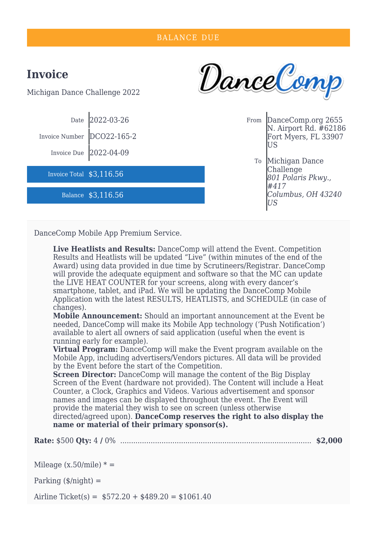| <b>BALANCE DUE</b>                              |                                                                         |  |    |                                                                                        |  |
|-------------------------------------------------|-------------------------------------------------------------------------|--|----|----------------------------------------------------------------------------------------|--|
| <b>Invoice</b><br>Michigan Dance Challenge 2022 |                                                                         |  |    | DanceComp                                                                              |  |
| Invoice Number                                  | Date 2022-03-26<br>DCO22-165-2<br>Invoice Due $\left[2022-04-09\right]$ |  |    | From DanceComp.org 2655<br>N. Airport Rd. #62186<br>Fort Myers, FL 33907<br>US         |  |
| Invoice Total \$3,116.56                        | Balance \$3,116.56                                                      |  | To | Michigan Dance<br>Challenge<br>801 Polaris Pkwy.,<br>#417<br>Columbus, OH 43240<br>ΙUЅ |  |

DanceComp Mobile App Premium Service.

**Live Heatlists and Results:** DanceComp will attend the Event. Competition Results and Heatlists will be updated "Live" (within minutes of the end of the Award) using data provided in due time by Scrutineers/Registrar. DanceComp will provide the adequate equipment and software so that the MC can update the LIVE HEAT COUNTER for your screens, along with every dancer's smartphone, tablet, and iPad. We will be updating the DanceComp Mobile Application with the latest RESULTS, HEATLISTS, and SCHEDULE (in case of changes).

**Mobile Announcement:** Should an important announcement at the Event be needed, DanceComp will make its Mobile App technology ('Push Notification') available to alert all owners of said application (useful when the event is running early for example).

**Virtual Program:** DanceComp will make the Event program available on the Mobile App, including advertisers/Vendors pictures. All data will be provided by the Event before the start of the Competition.

**Screen Director:** DanceComp will manage the content of the Big Display Screen of the Event (hardware not provided). The Content will include a Heat Counter, a Clock, Graphics and Videos. Various advertisement and sponsor names and images can be displayed throughout the event. The Event will provide the material they wish to see on screen (unless otherwise directed/agreed upon). **DanceComp reserves the right to also display the name or material of their primary sponsor(s).**

**Rate:** \$500 **Qty:** 4 **/** 0% ........................................................................................ **\$2,000**

Mileage  $(x.50\text{/mile})$  \* =

Parking  $(\frac{\epsilon}{\text{night}})$  =

Airline Ticket(s) =  $$572.20 + $489.20 = $1061.40$